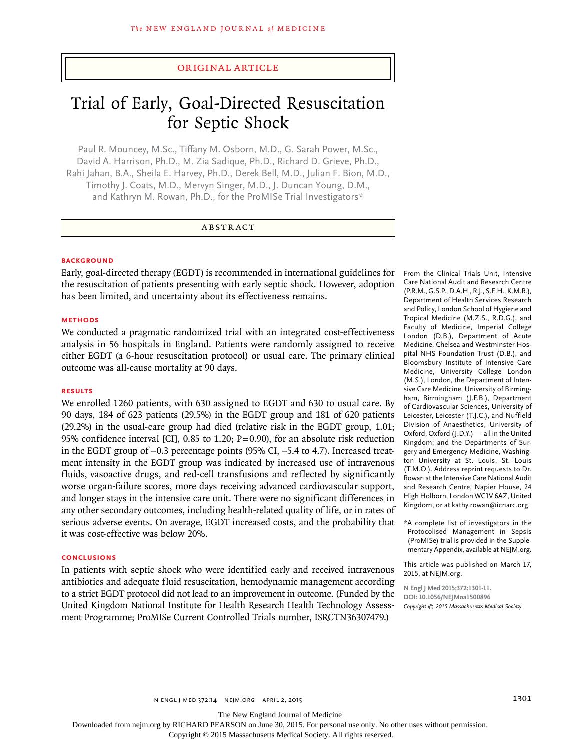# original article

# Trial of Early, Goal-Directed Resuscitation for Septic Shock

Paul R. Mouncey, M.Sc., Tiffany M. Osborn, M.D., G. Sarah Power, M.Sc., David A. Harrison, Ph.D., M. Zia Sadique, Ph.D., Richard D. Grieve, Ph.D., Rahi Jahan, B.A., Sheila E. Harvey, Ph.D., Derek Bell, M.D., Julian F. Bion, M.D., Timothy J. Coats, M.D., Mervyn Singer, M.D., J. Duncan Young, D.M., and Kathryn M. Rowan, Ph.D., for the ProMISe Trial Investigators\*

# ABSTRACT

## **BACKGROUND**

Early, goal-directed therapy (EGDT) is recommended in international guidelines for the resuscitation of patients presenting with early septic shock. However, adoption has been limited, and uncertainty about its effectiveness remains.

## **Methods**

We conducted a pragmatic randomized trial with an integrated cost-effectiveness analysis in 56 hospitals in England. Patients were randomly assigned to receive either EGDT (a 6-hour resuscitation protocol) or usual care. The primary clinical outcome was all-cause mortality at 90 days.

#### **Results**

We enrolled 1260 patients, with 630 assigned to EGDT and 630 to usual care. By 90 days, 184 of 623 patients (29.5%) in the EGDT group and 181 of 620 patients (29.2%) in the usual-care group had died (relative risk in the EGDT group, 1.01; 95% confidence interval [CI], 0.85 to 1.20;  $P=0.90$ ), for an absolute risk reduction in the EGDT group of −0.3 percentage points (95% CI, −5.4 to 4.7). Increased treatment intensity in the EGDT group was indicated by increased use of intravenous fluids, vasoactive drugs, and red-cell transfusions and reflected by significantly worse organ-failure scores, more days receiving advanced cardiovascular support, and longer stays in the intensive care unit. There were no significant differences in any other secondary outcomes, including health-related quality of life, or in rates of serious adverse events. On average, EGDT increased costs, and the probability that it was cost-effective was below 20%.

## **Conclusions**

In patients with septic shock who were identified early and received intravenous antibiotics and adequate fluid resuscitation, hemodynamic management according to a strict EGDT protocol did not lead to an improvement in outcome. (Funded by the United Kingdom National Institute for Health Research Health Technology Assessment Programme; ProMISe Current Controlled Trials number, ISRCTN36307479.)

From the Clinical Trials Unit, Intensive Care National Audit and Research Centre (P.R.M., G.S.P., D.A.H., R.J., S.E.H., K.M.R.), Department of Health Services Research and Policy, London School of Hygiene and Tropical Medicine (M.Z.S., R.D.G.), and Faculty of Medicine, Imperial College London (D.B.), Department of Acute Medicine, Chelsea and Westminster Hospital NHS Foundation Trust (D.B.), and Bloomsbury Institute of Intensive Care Medicine, University College London (M.S.), London, the Department of Intensive Care Medicine, University of Birmingham, Birmingham (J.F.B.), Department of Cardiovascular Sciences, University of Leicester, Leicester (T.J.C.), and Nuffield Division of Anaesthetics, University of Oxford, Oxford (J.D.Y.) — all in the United Kingdom; and the Departments of Surgery and Emergency Medicine, Washington University at St. Louis, St. Louis (T.M.O.). Address reprint requests to Dr. Rowan at the Intensive Care National Audit and Research Centre, Napier House, 24 High Holborn, London WC1V 6AZ, United Kingdom, or at kathy.rowan@icnarc.org.

\*A complete list of investigators in the Protocolised Management in Sepsis (ProMISe) trial is provided in the Supplementary Appendix, available at NEJM.org.

This article was published on March 17, 2015, at NEJM.org.

**N Engl J Med 2015;372:1301-11. DOI: 10.1056/NEJMoa1500896** *Copyright © 2015 Massachusetts Medical Society.*

The New England Journal of Medicine

Downloaded from nejm.org by RICHARD PEARSON on June 30, 2015. For personal use only. No other uses without permission.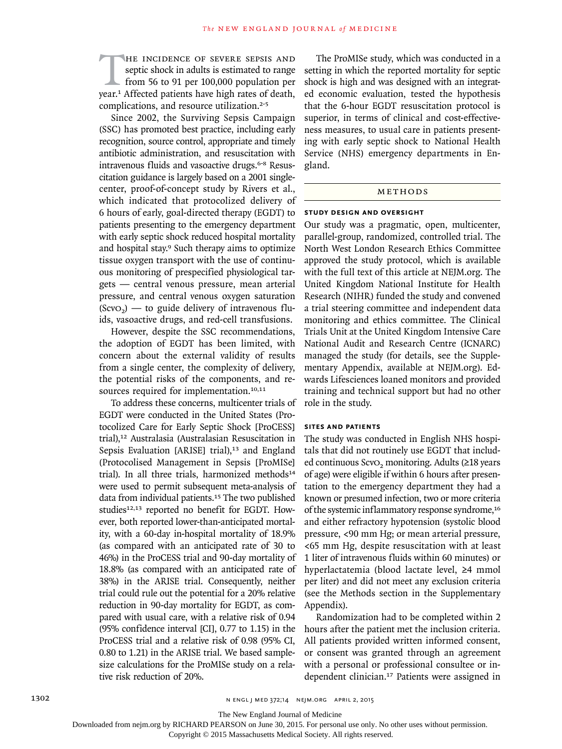THE INCIDENCE OF SEVERE SEPSIS AND septic shock in adults is estimated to range from 56 to 91 per 100,000 population per year.<sup>1</sup> Affected patients have high rates of death, septic shock in adults is estimated to range from 56 to 91 per 100,000 population per complications, and resource utilization.<sup>2-5</sup>

Since 2002, the Surviving Sepsis Campaign (SSC) has promoted best practice, including early recognition, source control, appropriate and timely antibiotic administration, and resuscitation with intravenous fluids and vasoactive drugs.<sup>6-8</sup> Resuscitation guidance is largely based on a 2001 singlecenter, proof-of-concept study by Rivers et al., which indicated that protocolized delivery of 6 hours of early, goal-directed therapy (EGDT) to patients presenting to the emergency department with early septic shock reduced hospital mortality and hospital stay.<sup>9</sup> Such therapy aims to optimize tissue oxygen transport with the use of continuous monitoring of prespecified physiological targets — central venous pressure, mean arterial pressure, and central venous oxygen saturation  $(Scvo<sub>2</sub>)$  — to guide delivery of intravenous fluids, vasoactive drugs, and red-cell transfusions.

However, despite the SSC recommendations, the adoption of EGDT has been limited, with concern about the external validity of results from a single center, the complexity of delivery, the potential risks of the components, and resources required for implementation.<sup>10,11</sup>

To address these concerns, multicenter trials of EGDT were conducted in the United States (Protocolized Care for Early Septic Shock [ProCESS] trial),12 Australasia (Australasian Resuscitation in Sepsis Evaluation [ARISE] trial),<sup>13</sup> and England (Protocolised Management in Sepsis [ProMISe] trial). In all three trials, harmonized methods<sup>14</sup> were used to permit subsequent meta-analysis of data from individual patients.<sup>15</sup> The two published studies<sup>12,13</sup> reported no benefit for EGDT. However, both reported lower-than-anticipated mortality, with a 60-day in-hospital mortality of 18.9% (as compared with an anticipated rate of 30 to 46%) in the ProCESS trial and 90-day mortality of 18.8% (as compared with an anticipated rate of 38%) in the ARISE trial. Consequently, neither trial could rule out the potential for a 20% relative reduction in 90-day mortality for EGDT, as compared with usual care, with a relative risk of 0.94 (95% confidence interval [CI], 0.77 to 1.15) in the ProCESS trial and a relative risk of 0.98 (95% CI, 0.80 to 1.21) in the ARISE trial. We based samplesize calculations for the ProMISe study on a relative risk reduction of 20%.

The ProMISe study, which was conducted in a setting in which the reported mortality for septic shock is high and was designed with an integrated economic evaluation, tested the hypothesis that the 6-hour EGDT resuscitation protocol is superior, in terms of clinical and cost-effectiveness measures, to usual care in patients presenting with early septic shock to National Health Service (NHS) emergency departments in England.

# **METHODS**

#### **Study Design and Oversight**

Our study was a pragmatic, open, multicenter, parallel-group, randomized, controlled trial. The North West London Research Ethics Committee approved the study protocol, which is available with the full text of this article at NEJM.org. The United Kingdom National Institute for Health Research (NIHR) funded the study and convened a trial steering committee and independent data monitoring and ethics committee. The Clinical Trials Unit at the United Kingdom Intensive Care National Audit and Research Centre (ICNARC) managed the study (for details, see the Supplementary Appendix, available at NEJM.org). Edwards Lifesciences loaned monitors and provided training and technical support but had no other role in the study.

# **Sites and Patients**

The study was conducted in English NHS hospitals that did not routinely use EGDT that included continuous ScvO<sub>2</sub> monitoring. Adults (≥18 years of age) were eligible if within 6 hours after presentation to the emergency department they had a known or presumed infection, two or more criteria of the systemic inflammatory response syndrome,<sup>16</sup> and either refractory hypotension (systolic blood pressure, <90 mm Hg; or mean arterial pressure, <65 mm Hg, despite resuscitation with at least 1 liter of intravenous fluids within 60 minutes) or hyperlactatemia (blood lactate level, ≥4 mmol per liter) and did not meet any exclusion criteria (see the Methods section in the Supplementary Appendix).

Randomization had to be completed within 2 hours after the patient met the inclusion criteria. All patients provided written informed consent, or consent was granted through an agreement with a personal or professional consultee or independent clinician.17 Patients were assigned in

The New England Journal of Medicine

Downloaded from nejm.org by RICHARD PEARSON on June 30, 2015. For personal use only. No other uses without permission.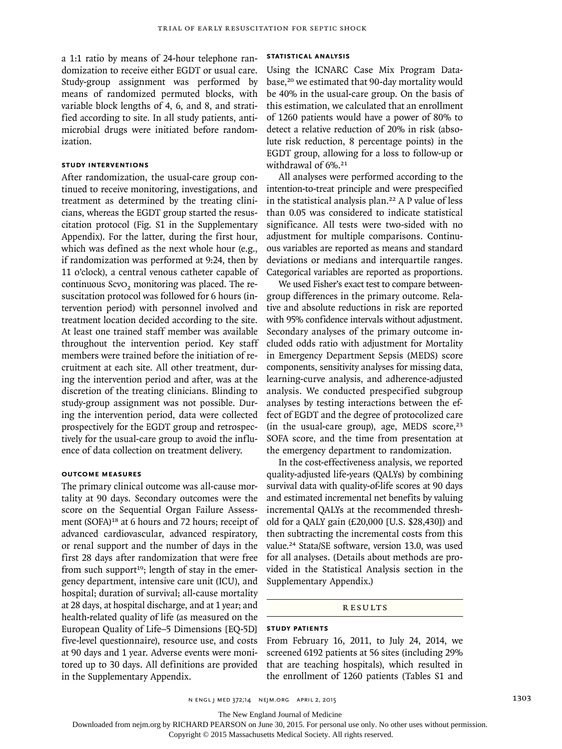a 1:1 ratio by means of 24-hour telephone randomization to receive either EGDT or usual care. Study-group assignment was performed by means of randomized permuted blocks, with variable block lengths of 4, 6, and 8, and stratified according to site. In all study patients, antimicrobial drugs were initiated before randomization.

# **Study Interventions**

After randomization, the usual-care group continued to receive monitoring, investigations, and treatment as determined by the treating clinicians, whereas the EGDT group started the resuscitation protocol (Fig. S1 in the Supplementary Appendix). For the latter, during the first hour, which was defined as the next whole hour (e.g., if randomization was performed at 9:24, then by 11 o'clock), a central venous catheter capable of continuous ScvO<sub>2</sub> monitoring was placed. The resuscitation protocol was followed for 6 hours (intervention period) with personnel involved and treatment location decided according to the site. At least one trained staff member was available throughout the intervention period. Key staff members were trained before the initiation of recruitment at each site. All other treatment, during the intervention period and after, was at the discretion of the treating clinicians. Blinding to study-group assignment was not possible. During the intervention period, data were collected prospectively for the EGDT group and retrospectively for the usual-care group to avoid the influence of data collection on treatment delivery.

### **Outcome Measures**

The primary clinical outcome was all-cause mortality at 90 days. Secondary outcomes were the score on the Sequential Organ Failure Assessment (SOFA)<sup>18</sup> at 6 hours and 72 hours; receipt of advanced cardiovascular, advanced respiratory, or renal support and the number of days in the first 28 days after randomization that were free from such support<sup>19</sup>; length of stay in the emergency department, intensive care unit (ICU), and hospital; duration of survival; all-cause mortality at 28 days, at hospital discharge, and at 1 year; and health-related quality of life (as measured on the European Quality of Life–5 Dimensions [EQ-5D] five-level questionnaire), resource use, and costs at 90 days and 1 year. Adverse events were monitored up to 30 days. All definitions are provided in the Supplementary Appendix.

# **Statistical Analysis**

Using the ICNARC Case Mix Program Database,<sup>20</sup> we estimated that 90-day mortality would be 40% in the usual-care group. On the basis of this estimation, we calculated that an enrollment of 1260 patients would have a power of 80% to detect a relative reduction of 20% in risk (absolute risk reduction, 8 percentage points) in the EGDT group, allowing for a loss to follow-up or withdrawal of 6%.<sup>21</sup>

All analyses were performed according to the intention-to-treat principle and were prespecified in the statistical analysis plan.22 A P value of less than 0.05 was considered to indicate statistical significance. All tests were two-sided with no adjustment for multiple comparisons. Continuous variables are reported as means and standard deviations or medians and interquartile ranges. Categorical variables are reported as proportions.

We used Fisher's exact test to compare betweengroup differences in the primary outcome. Relative and absolute reductions in risk are reported with 95% confidence intervals without adjustment. Secondary analyses of the primary outcome included odds ratio with adjustment for Mortality in Emergency Department Sepsis (MEDS) score components, sensitivity analyses for missing data, learning-curve analysis, and adherence-adjusted analysis. We conducted prespecified subgroup analyses by testing interactions between the effect of EGDT and the degree of protocolized care (in the usual-care group), age, MEDS score, $23$ SOFA score, and the time from presentation at the emergency department to randomization.

In the cost-effectiveness analysis, we reported quality-adjusted life-years (QALYs) by combining survival data with quality-of-life scores at 90 days and estimated incremental net benefits by valuing incremental QALYs at the recommended threshold for a QALY gain (£20,000 [U.S. \$28,430]) and then subtracting the incremental costs from this value.24 Stata/SE software, version 13.0, was used for all analyses. (Details about methods are provided in the Statistical Analysis section in the Supplementary Appendix.)

## **RESULTS**

# **Study Patients**

From February 16, 2011, to July 24, 2014, we screened 6192 patients at 56 sites (including 29% that are teaching hospitals), which resulted in the enrollment of 1260 patients (Tables S1 and

The New England Journal of Medicine

Downloaded from nejm.org by RICHARD PEARSON on June 30, 2015. For personal use only. No other uses without permission.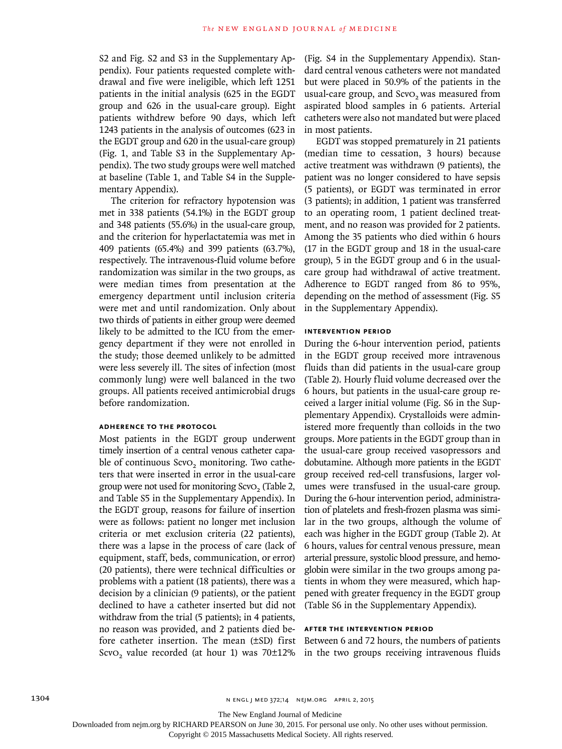S2 and Fig. S2 and S3 in the Supplementary Appendix). Four patients requested complete withdrawal and five were ineligible, which left 1251 patients in the initial analysis (625 in the EGDT group and 626 in the usual-care group). Eight patients withdrew before 90 days, which left 1243 patients in the analysis of outcomes (623 in the EGDT group and 620 in the usual-care group) (Fig. 1, and Table S3 in the Supplementary Appendix). The two study groups were well matched at baseline (Table 1, and Table S4 in the Supplementary Appendix).

The criterion for refractory hypotension was met in 338 patients (54.1%) in the EGDT group and 348 patients (55.6%) in the usual-care group, and the criterion for hyperlactatemia was met in 409 patients (65.4%) and 399 patients (63.7%), respectively. The intravenous-fluid volume before randomization was similar in the two groups, as were median times from presentation at the emergency department until inclusion criteria were met and until randomization. Only about two thirds of patients in either group were deemed likely to be admitted to the ICU from the emergency department if they were not enrolled in the study; those deemed unlikely to be admitted were less severely ill. The sites of infection (most commonly lung) were well balanced in the two groups. All patients received antimicrobial drugs before randomization.

# **Adherence to the Protocol**

Most patients in the EGDT group underwent timely insertion of a central venous catheter capable of continuous ScvO<sub>2</sub> monitoring. Two catheters that were inserted in error in the usual-care group were not used for monitoring ScvO<sub>2</sub> (Table 2, and Table S5 in the Supplementary Appendix). In the EGDT group, reasons for failure of insertion were as follows: patient no longer met inclusion criteria or met exclusion criteria (22 patients), there was a lapse in the process of care (lack of equipment, staff, beds, communication, or error) (20 patients), there were technical difficulties or problems with a patient (18 patients), there was a decision by a clinician (9 patients), or the patient declined to have a catheter inserted but did not withdraw from the trial (5 patients); in 4 patients, no reason was provided, and 2 patients died before catheter insertion. The mean (±SD) first Between 6 and 72 hours, the numbers of patients ScvO<sub>2</sub> value recorded (at hour 1) was 70 $\pm$ 12% in the two groups receiving intravenous fluids

(Fig. S4 in the Supplementary Appendix). Standard central venous catheters were not mandated but were placed in 50.9% of the patients in the usual-care group, and ScvO<sub>2</sub> was measured from aspirated blood samples in 6 patients. Arterial catheters were also not mandated but were placed in most patients.

EGDT was stopped prematurely in 21 patients (median time to cessation, 3 hours) because active treatment was withdrawn (9 patients), the patient was no longer considered to have sepsis (5 patients), or EGDT was terminated in error (3 patients); in addition, 1 patient was transferred to an operating room, 1 patient declined treatment, and no reason was provided for 2 patients. Among the 35 patients who died within 6 hours (17 in the EGDT group and 18 in the usual-care group), 5 in the EGDT group and 6 in the usualcare group had withdrawal of active treatment. Adherence to EGDT ranged from 86 to 95%, depending on the method of assessment (Fig. S5 in the Supplementary Appendix).

#### **Intervention Period**

During the 6-hour intervention period, patients in the EGDT group received more intravenous fluids than did patients in the usual-care group (Table 2). Hourly fluid volume decreased over the 6 hours, but patients in the usual-care group received a larger initial volume (Fig. S6 in the Supplementary Appendix). Crystalloids were administered more frequently than colloids in the two groups. More patients in the EGDT group than in the usual-care group received vasopressors and dobutamine. Although more patients in the EGDT group received red-cell transfusions, larger volumes were transfused in the usual-care group. During the 6-hour intervention period, administration of platelets and fresh-frozen plasma was similar in the two groups, although the volume of each was higher in the EGDT group (Table 2). At 6 hours, values for central venous pressure, mean arterial pressure, systolic blood pressure, and hemoglobin were similar in the two groups among patients in whom they were measured, which happened with greater frequency in the EGDT group (Table S6 in the Supplementary Appendix).

#### **After the Intervention Period**

The New England Journal of Medicine

Downloaded from nejm.org by RICHARD PEARSON on June 30, 2015. For personal use only. No other uses without permission.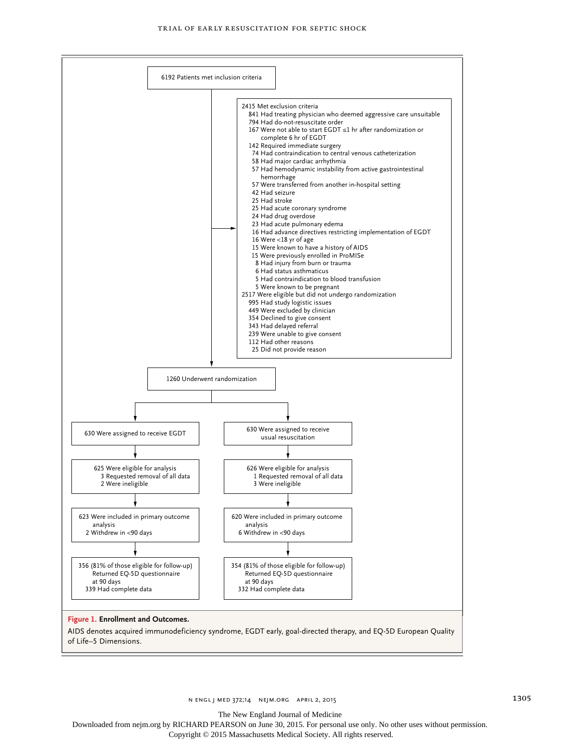

The New England Journal of Medicine

Downloaded from nejm.org by RICHARD PEARSON on June 30, 2015. For personal use only. No other uses without permission.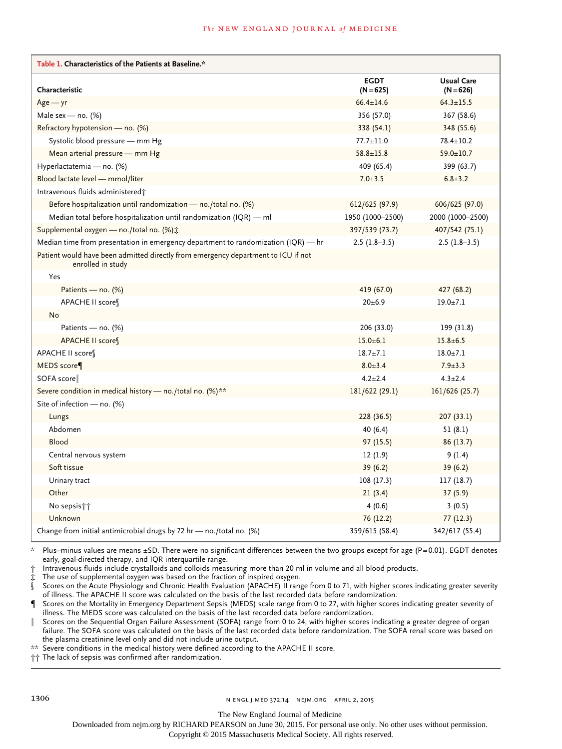#### **The NEW ENGLAND JOURNAL of MEDICINE**

| Table 1. Characteristics of the Patients at Baseline.*                                                 |                            |                                  |
|--------------------------------------------------------------------------------------------------------|----------------------------|----------------------------------|
| Characteristic                                                                                         | <b>EGDT</b><br>$(N = 625)$ | <b>Usual Care</b><br>$(N = 626)$ |
| $Age - yr$                                                                                             | $66.4 \pm 14.6$            | $64.3 \pm 15.5$                  |
| Male sex - no. $(%)$                                                                                   | 356 (57.0)                 | 367 (58.6)                       |
| Refractory hypotension — no. (%)                                                                       | 338 (54.1)                 | 348 (55.6)                       |
| Systolic blood pressure - mm Hg                                                                        | $77.7 \pm 11.0$            | $78.4 \pm 10.2$                  |
| Mean arterial pressure - mm Hg                                                                         | $58.8 \pm 15.8$            | $59.0 \pm 10.7$                  |
| Hyperlactatemia - no. (%)                                                                              | 409 (65.4)                 | 399 (63.7)                       |
| Blood lactate level - mmol/liter                                                                       | $7.0 + 3.5$                | $6.8 \pm 3.2$                    |
| Intravenous fluids administered;                                                                       |                            |                                  |
| Before hospitalization until randomization $-$ no./total no. (%)                                       | 612/625 (97.9)             | 606/625 (97.0)                   |
| Median total before hospitalization until randomization $( IQR)$ — ml                                  | 1950 (1000-2500)           | 2000 (1000-2500)                 |
| Supplemental oxygen — no./total no. (%):                                                               | 397/539 (73.7)             | 407/542 (75.1)                   |
| Median time from presentation in emergency department to randomization (IQR) — hr                      | $2.5(1.8-3.5)$             | $2.5(1.8-3.5)$                   |
| Patient would have been admitted directly from emergency department to ICU if not<br>enrolled in study |                            |                                  |
| Yes                                                                                                    |                            |                                  |
| Patients — no. (%)                                                                                     | 419 (67.0)                 | 427 (68.2)                       |
| APACHE II score                                                                                        | 20±6.9                     | $19.0 \pm 7.1$                   |
| No                                                                                                     |                            |                                  |
| Patients - no. (%)                                                                                     | 206 (33.0)                 | 199 (31.8)                       |
| APACHE II score                                                                                        | $15.0 + 6.1$               | $15.8 \pm 6.5$                   |
| APACHE II score¶                                                                                       | $18.7 + 7.1$               | $18.0 + 7.1$                     |
| MEDS score                                                                                             | $8.0 \pm 3.4$              | $7.9 \pm 3.3$                    |
| SOFA score                                                                                             | $4.2 \pm 2.4$              | $4.3 \pm 2.4$                    |
| Severe condition in medical history - no./total no. (%)**                                              | 181/622 (29.1)             | 161/626 (25.7)                   |
| Site of infection $-$ no. (%)                                                                          |                            |                                  |
| Lungs                                                                                                  | 228 (36.5)                 | 207(33.1)                        |
| Abdomen                                                                                                | 40 (6.4)                   | 51 (8.1)                         |
| Blood                                                                                                  | 97(15.5)                   | 86(13.7)                         |
| Central nervous system                                                                                 | 12(1.9)                    | 9(1.4)                           |
| Soft tissue                                                                                            | 39(6.2)                    | 39 (6.2)                         |
| Urinary tract                                                                                          | 108 (17.3)                 | 117 (18.7)                       |
| Other                                                                                                  | 21(3.4)                    | 37 (5.9)                         |
| No sepsis††                                                                                            | 4(0.6)                     | 3(0.5)                           |
| Unknown                                                                                                | 76 (12.2)                  | 77(12.3)                         |
| Change from initial antimicrobial drugs by 72 hr - no./total no. (%)                                   | 359/615 (58.4)             | 342/617 (55.4)                   |

\* Plus–minus values are means ±SD. There were no significant differences between the two groups except for age (P=0.01). EGDT denotes early, goal-directed therapy, and IQR interquartile range.

† Intravenous fluids include crystalloids and colloids measuring more than 20 ml in volume and all blood products.

The use of supplemental oxygen was based on the fraction of inspired oxygen.

Scores on the Acute Physiology and Chronic Health Evaluation (APACHE) II range from 0 to 71, with higher scores indicating greater severity of illness. The APACHE II score was calculated on the basis of the last recorded data before randomization.

Scores on the Mortality in Emergency Department Sepsis (MEDS) scale range from 0 to 27, with higher scores indicating greater severity of illness. The MEDS score was calculated on the basis of the last recorded data before randomization.

Scores on the Sequential Organ Failure Assessment (SOFA) range from 0 to 24, with higher scores indicating a greater degree of organ failure. The SOFA score was calculated on the basis of the last recorded data before randomization. The SOFA renal score was based on

the plasma creatinine level only and did not include urine output.

\*\* Severe conditions in the medical history were defined according to the APACHE II score.

†† The lack of sepsis was confirmed after randomization.

1306 **n engl j med 372;14** N ENGL J MED 372;14 N EJM.ORG APRIL 2, 2015

The New England Journal of Medicine

Downloaded from nejm.org by RICHARD PEARSON on June 30, 2015. For personal use only. No other uses without permission.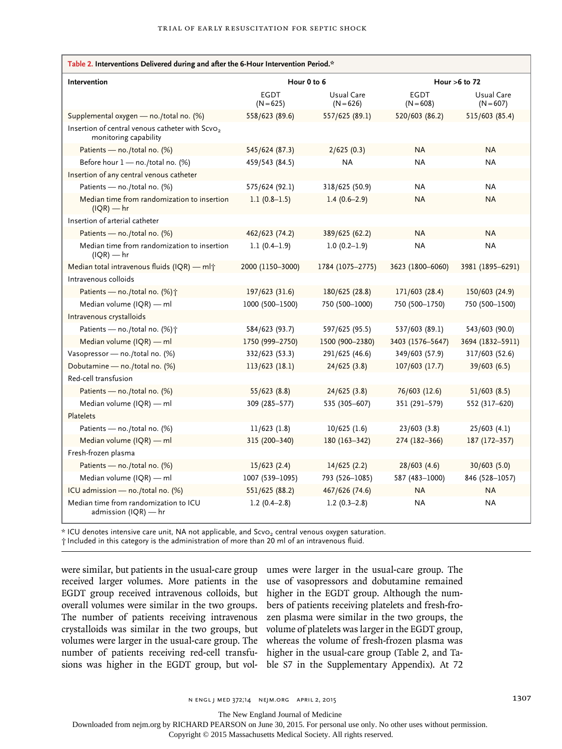| Table 2. Interventions Delivered during and after the 6-Hour Intervention Period.*   |                            |                           |                            |                           |
|--------------------------------------------------------------------------------------|----------------------------|---------------------------|----------------------------|---------------------------|
| Intervention                                                                         | Hour 0 to 6                |                           | Hour $>6$ to 72            |                           |
|                                                                                      | <b>EGDT</b><br>$(N = 625)$ | Usual Care<br>$(N = 626)$ | <b>EGDT</b><br>$(N = 608)$ | Usual Care<br>$(N = 607)$ |
| Supplemental oxygen - no./total no. (%)                                              | 558/623 (89.6)             | 557/625 (89.1)            | 520/603 (86.2)             | 515/603 (85.4)            |
| Insertion of central venous catheter with Scvo <sub>2</sub><br>monitoring capability |                            |                           |                            |                           |
| Patients - no./total no. (%)                                                         | 545/624 (87.3)             | 2/625(0.3)                | <b>NA</b>                  | <b>NA</b>                 |
| Before hour 1 - no./total no. (%)                                                    | 459/543 (84.5)             | <b>NA</b>                 | <b>NA</b>                  | <b>NA</b>                 |
| Insertion of any central venous catheter                                             |                            |                           |                            |                           |
| Patients - no./total no. (%)                                                         | 575/624 (92.1)             | 318/625 (50.9)            | <b>NA</b>                  | <b>NA</b>                 |
| Median time from randomization to insertion<br>$I(QR)$ — hr                          | $1.1(0.8-1.5)$             | $1.4(0.6-2.9)$            | <b>NA</b>                  | <b>NA</b>                 |
| Insertion of arterial catheter                                                       |                            |                           |                            |                           |
| Patients - no./total no. (%)                                                         | 462/623 (74.2)             | 389/625 (62.2)            | <b>NA</b>                  | <b>NA</b>                 |
| Median time from randomization to insertion<br>$(IQR)$ — hr                          | $1.1(0.4-1.9)$             | $1.0(0.2-1.9)$            | ΝA                         | NA.                       |
| Median total intravenous fluids (IQR) - ml <sup>+</sup>                              | 2000 (1150-3000)           | 1784 (1075-2775)          | 3623 (1800-6060)           | 3981 (1895-6291)          |
| Intravenous colloids                                                                 |                            |                           |                            |                           |
| Patients - no./total no. (%) <sup>+</sup>                                            | 197/623 (31.6)             | 180/625 (28.8)            | 171/603 (28.4)             | 150/603 (24.9)            |
| Median volume (IQR) - ml                                                             | 1000 (500-1500)            | 750 (500-1000)            | 750 (500-1750)             | 750 (500-1500)            |
| Intravenous crystalloids                                                             |                            |                           |                            |                           |
| Patients - no./total no. (%)+                                                        | 584/623 (93.7)             | 597/625 (95.5)            | 537/603 (89.1)             | 543/603 (90.0)            |
| Median volume (IQR) — ml                                                             | 1750 (999-2750)            | 1500 (900-2380)           | 3403 (1576-5647)           | 3694 (1832-5911)          |
| Vasopressor - no./total no. (%)                                                      | 332/623 (53.3)             | 291/625 (46.6)            | 349/603 (57.9)             | 317/603 (52.6)            |
| Dobutamine - no./total no. (%)                                                       | 113/623 (18.1)             | 24/625(3.8)               | 107/603 (17.7)             | 39/603 (6.5)              |
| Red-cell transfusion                                                                 |                            |                           |                            |                           |
| Patients - no./total no. (%)                                                         | 55/623 (8.8)               | 24/625 (3.8)              | 76/603 (12.6)              | 51/603(8.5)               |
| Median volume (IQR) - ml                                                             | 309 (285-577)              | 535 (305-607)             | 351 (291-579)              | 552 (317-620)             |
| Platelets                                                                            |                            |                           |                            |                           |
| Patients - no./total no. (%)                                                         | 11/623(1.8)                | $10/625$ (1.6)            | 23/603(3.8)                | 25/603(4.1)               |
| Median volume $(IQR)$ — ml                                                           | 315 (200-340)              | 180 (163-342)             | 274 (182-366)              | 187 (172-357)             |
| Fresh-frozen plasma                                                                  |                            |                           |                            |                           |
| Patients - no./total no. (%)                                                         | 15/623(2.4)                | 14/625(2.2)               | 28/603(4.6)                | 30/603 (5.0)              |
| Median volume (IQR) - ml                                                             | 1007 (539-1095)            | 793 (526-1085)            | 587 (483-1000)             | 846 (528-1057)            |
| ICU admission - no./total no. (%)                                                    | 551/625 (88.2)             | 467/626 (74.6)            | <b>NA</b>                  | <b>NA</b>                 |
| Median time from randomization to ICU<br>admission $(IQR)$ — hr                      | $1.2(0.4-2.8)$             | $1.2(0.3-2.8)$            | ΝA                         | <b>NA</b>                 |

\* ICU denotes intensive care unit, NA not applicable, and ScvO2 central venous oxygen saturation.

† Included in this category is the administration of more than 20 ml of an intravenous fluid.

were similar, but patients in the usual-care group umes were larger in the usual-care group. The received larger volumes. More patients in the EGDT group received intravenous colloids, but overall volumes were similar in the two groups. The number of patients receiving intravenous crystalloids was similar in the two groups, but volumes were larger in the usual-care group. The number of patients receiving red-cell transfusions was higher in the EGDT group, but vol-

use of vasopressors and dobutamine remained higher in the EGDT group. Although the numbers of patients receiving platelets and fresh-frozen plasma were similar in the two groups, the volume of platelets was larger in the EGDT group, whereas the volume of fresh-frozen plasma was higher in the usual-care group (Table 2, and Table S7 in the Supplementary Appendix). At 72

n engl j med 372;14 nejm.org april 2, 2015 1307

The New England Journal of Medicine

Downloaded from nejm.org by RICHARD PEARSON on June 30, 2015. For personal use only. No other uses without permission.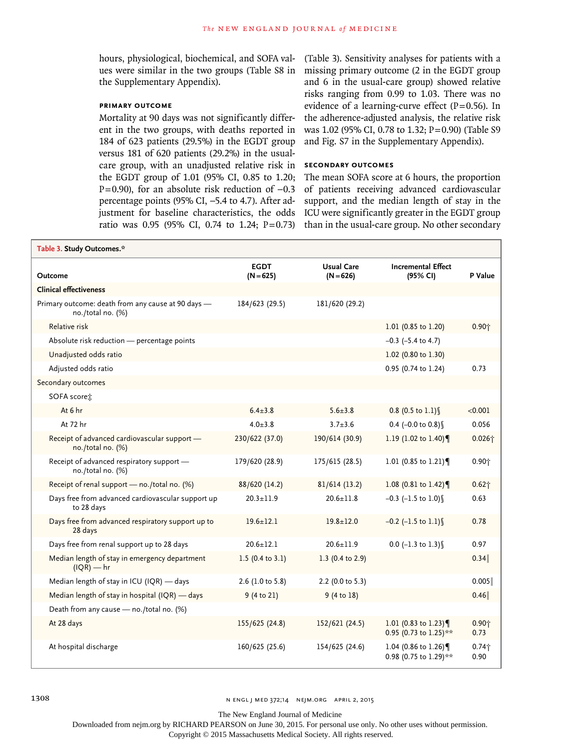hours, physiological, biochemical, and SOFA values were similar in the two groups (Table S8 in the Supplementary Appendix).

# **Primary Outcome**

Mortality at 90 days was not significantly different in the two groups, with deaths reported in 184 of 623 patients (29.5%) in the EGDT group versus 181 of 620 patients (29.2%) in the usualcare group, with an unadjusted relative risk in the EGDT group of 1.01 (95% CI, 0.85 to 1.20; P=0.90), for an absolute risk reduction of -0.3 percentage points (95% CI, −5.4 to 4.7). After adjustment for baseline characteristics, the odds ratio was 0.95 (95% CI, 0.74 to 1.24; P=0.73)

(Table 3). Sensitivity analyses for patients with a missing primary outcome (2 in the EGDT group and 6 in the usual-care group) showed relative risks ranging from 0.99 to 1.03. There was no evidence of a learning-curve effect  $(P=0.56)$ . In the adherence-adjusted analysis, the relative risk was 1.02 (95% CI, 0.78 to 1.32; P=0.90) (Table S9 and Fig. S7 in the Supplementary Appendix).

# **Secondary Outcomes**

The mean SOFA score at 6 hours, the proportion of patients receiving advanced cardiovascular support, and the median length of stay in the ICU were significantly greater in the EGDT group than in the usual-care group. No other secondary

| Table 3. Study Outcomes.*                                               |                            |                                  |                                              |                  |
|-------------------------------------------------------------------------|----------------------------|----------------------------------|----------------------------------------------|------------------|
| <b>Outcome</b>                                                          | <b>EGDT</b><br>$(N = 625)$ | <b>Usual Care</b><br>$(N = 626)$ | <b>Incremental Effect</b><br>(95% CI)        | P Value          |
| <b>Clinical effectiveness</b>                                           |                            |                                  |                                              |                  |
| Primary outcome: death from any cause at 90 days -<br>no./total no. (%) | 184/623 (29.5)             | 181/620 (29.2)                   |                                              |                  |
| Relative risk                                                           |                            |                                  | 1.01 (0.85 to 1.20)                          | $0.90 +$         |
| Absolute risk reduction - percentage points                             |                            |                                  | $-0.3$ ( $-5.4$ to 4.7)                      |                  |
| Unadjusted odds ratio                                                   |                            |                                  | 1.02 (0.80 to 1.30)                          |                  |
| Adjusted odds ratio                                                     |                            |                                  | 0.95 (0.74 to 1.24)                          | 0.73             |
| Secondary outcomes                                                      |                            |                                  |                                              |                  |
| SOFA scores:                                                            |                            |                                  |                                              |                  |
| At 6 hr                                                                 | $6.4 \pm 3.8$              | $5.6 \pm 3.8$                    | $0.8$ (0.5 to 1.1) §                         | < 0.001          |
| At 72 hr                                                                | $4.0 \pm 3.8$              | $3.7 + 3.6$                      | 0.4 (-0.0 to $0.8$ )                         | 0.056            |
| Receipt of advanced cardiovascular support -<br>no./total no. (%)       | 230/622 (37.0)             | 190/614 (30.9)                   | 1.19 (1.02 to 1.40)                          | $0.026 +$        |
| Receipt of advanced respiratory support -<br>no./total no. (%)          | 179/620 (28.9)             | 175/615 (28.5)                   | 1.01 (0.85 to 1.21)                          | $0.90 +$         |
| Receipt of renal support - no./total no. (%)                            | 88/620 (14.2)              | 81/614 (13.2)                    | 1.08 (0.81 to 1.42)                          | $0.62 +$         |
| Days free from advanced cardiovascular support up<br>to 28 days         | $20.3 \pm 11.9$            | $20.6 \pm 11.8$                  | $-0.3$ (-1.5 to 1.0) §                       | 0.63             |
| Days free from advanced respiratory support up to<br>28 days            | $19.6 \pm 12.1$            | $19.8 \pm 12.0$                  | $-0.2$ (-1.5 to 1.1) §                       | 0.78             |
| Days free from renal support up to 28 days                              | $20.6 + 12.1$              | $20.6 + 11.9$                    | $0.0$ (-1.3 to 1.3)                          | 0.97             |
| Median length of stay in emergency department<br>$I(QR)$ — hr           | 1.5 (0.4 to 3.1)           | 1.3 (0.4 to 2.9)                 |                                              | 0.34             |
| Median length of stay in ICU (IQR) - days                               | 2.6 (1.0 to 5.8)           | 2.2 (0.0 to 5.3)                 |                                              | 0.005            |
| Median length of stay in hospital (IQR) - days                          | 9 (4 to 21)                | 9(4 to 18)                       |                                              | 0.46             |
| Death from any cause - no./total no. (%)                                |                            |                                  |                                              |                  |
| At 28 days                                                              | 155/625 (24.8)             | 152/621 (24.5)                   | 1.01 (0.83 to 1.23)<br>0.95 (0.73 to 1.25)** | $0.90 +$<br>0.73 |
| At hospital discharge                                                   | 160/625 (25.6)             | 154/625 (24.6)                   | 1.04 (0.86 to 1.26)<br>0.98 (0.75 to 1.29)** | $0.74 +$<br>0.90 |

1308 **n engl j med 372;14** N ENGL J MED 372;14 N EJM.ORG APRIL 2, 2015

The New England Journal of Medicine

Downloaded from nejm.org by RICHARD PEARSON on June 30, 2015. For personal use only. No other uses without permission.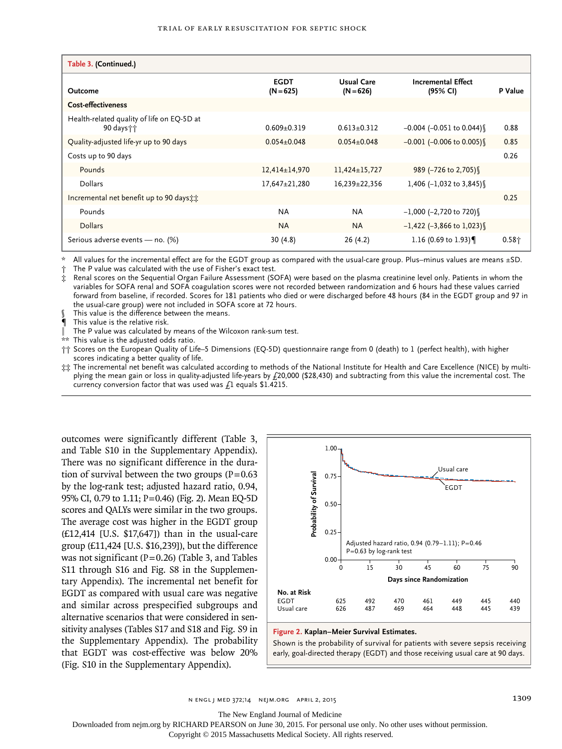| Table 3. (Continued.)                                     |                            |                                  |                                       |          |
|-----------------------------------------------------------|----------------------------|----------------------------------|---------------------------------------|----------|
| Outcome                                                   | <b>EGDT</b><br>$(N = 625)$ | <b>Usual Care</b><br>$(N = 626)$ | <b>Incremental Effect</b><br>(95% CI) | P Value  |
| <b>Cost-effectiveness</b>                                 |                            |                                  |                                       |          |
| Health-related quality of life on EQ-5D at<br>90 days † † | $0.609 + 0.319$            | $0.613+0.312$                    | $-0.004$ ( $-0.051$ to 0.044)         | 0.88     |
| Quality-adjusted life-yr up to 90 days                    | $0.054 \pm 0.048$          | $0.054 \pm 0.048$                | $-0.001$ (-0.006 to 0.005)            | 0.85     |
| Costs up to 90 days                                       |                            |                                  |                                       | 0.26     |
| Pounds                                                    | $12,414\pm 14,970$         | $11,424\pm 15,727$               | 989 (-726 to 2,705)                   |          |
| <b>Dollars</b>                                            | $17,647 \pm 21,280$        | 16,239±22,356                    | 1,406 $(-1,032)$ to 3,845)            |          |
| Incremental net benefit up to 90 days the                 |                            |                                  |                                       | 0.25     |
| Pounds                                                    | <b>NA</b>                  | <b>NA</b>                        | $-1,000$ (-2,720 to 720)              |          |
| <b>Dollars</b>                                            | <b>NA</b>                  | <b>NA</b>                        | $-1,422$ (-3,866 to 1,023)            |          |
| Serious adverse events - no. (%)                          | 30(4.8)                    | 26 (4.2)                         | 1.16 (0.69 to 1.93)                   | $0.58 +$ |

\* All values for the incremental effect are for the EGDT group as compared with the usual-care group. Plus–minus values are means ±SD.

The P value was calculated with the use of Fisher's exact test.

‡ Renal scores on the Sequential Organ Failure Assessment (SOFA) were based on the plasma creatinine level only. Patients in whom the variables for SOFA renal and SOFA coagulation scores were not recorded between randomization and 6 hours had these values carried forward from baseline, if recorded. Scores for 181 patients who died or were discharged before 48 hours (84 in the EGDT group and 97 in the usual-care group) were not included in SOFA score at 72 hours.

This value is the difference between the means.

This value is the relative risk.

The P value was calculated by means of the Wilcoxon rank-sum test.

This value is the adjusted odds ratio.

†† Scores on the European Quality of Life–5 Dimensions (EQ-5D) questionnaire range from 0 (death) to 1 (perfect health), with higher scores indicating a better quality of life.

‡‡ The incremental net benefit was calculated according to methods of the National Institute for Health and Care Excellence (NICE) by multiplying the mean gain or loss in quality-adjusted life-years by £20,000 (\$28,430) and subtracting from this value the incremental cost. The currency conversion factor that was used was  $f_1$  equals \$1.4215.

outcomes were significantly different (Table 3, and Table S10 in the Supplementary Appendix). There was no significant difference in the duration of survival between the two groups  $(P=0.63)$ by the log-rank test; adjusted hazard ratio, 0.94, 95% CI, 0.79 to 1.11; P=0.46) (Fig. 2). Mean EQ-5D scores and QALYs were similar in the two groups. The average cost was higher in the EGDT group (£12,414 [U.S. \$17,647]) than in the usual-care group (£11,424 [U.S. \$16,239]), but the difference was not significant ( $P=0.26$ ) (Table 3, and Tables S11 through S16 and Fig. S8 in the Supplementary Appendix). The incremental net benefit for EGDT as compared with usual care was negative and similar across prespecified subgroups and alternative scenarios that were considered in sensitivity analyses (Tables S17 and S18 and Fig. S9 in the Supplementary Appendix). The probability that EGDT was cost-effective was below 20% (Fig. S10 in the Supplementary Appendix).



#### **Figure 2. Kaplan–Meier Survival Estimates.**

Shown is the probability of survival for patients with severe sepsis receiving early, goal-directed therapy (EGDT) and those receiving usual care at 90 days.

n engl j med 372;14 nejm.org april 2, 2015 1309

The New England Journal of Medicine

Downloaded from nejm.org by RICHARD PEARSON on June 30, 2015. For personal use only. No other uses without permission.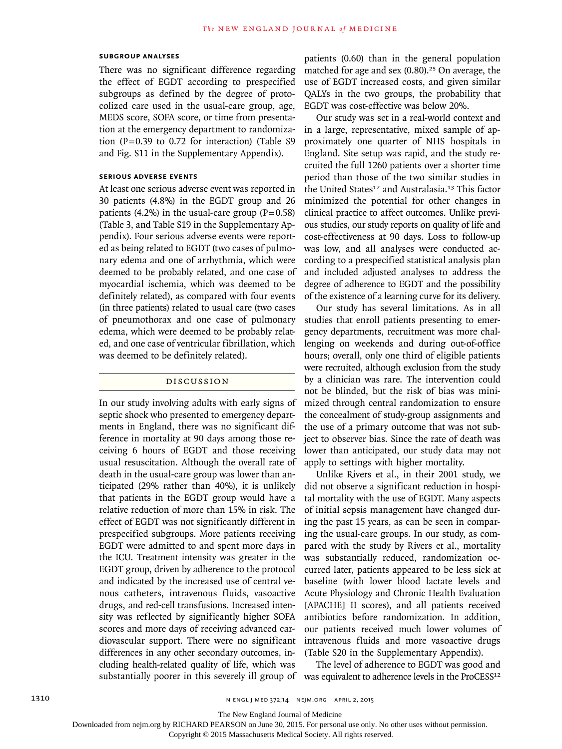#### **Subgroup Analyses**

There was no significant difference regarding the effect of EGDT according to prespecified subgroups as defined by the degree of protocolized care used in the usual-care group, age, MEDS score, SOFA score, or time from presentation at the emergency department to randomization  $(P=0.39$  to 0.72 for interaction) (Table S9 and Fig. S11 in the Supplementary Appendix).

# **Serious Adverse Events**

At least one serious adverse event was reported in 30 patients (4.8%) in the EGDT group and 26 patients (4.2%) in the usual-care group ( $P=0.58$ ) (Table 3, and Table S19 in the Supplementary Appendix). Four serious adverse events were reported as being related to EGDT (two cases of pulmonary edema and one of arrhythmia, which were deemed to be probably related, and one case of myocardial ischemia, which was deemed to be definitely related), as compared with four events (in three patients) related to usual care (two cases of pneumothorax and one case of pulmonary edema, which were deemed to be probably related, and one case of ventricular fibrillation, which was deemed to be definitely related).

### Discussion

In our study involving adults with early signs of septic shock who presented to emergency departments in England, there was no significant difference in mortality at 90 days among those receiving 6 hours of EGDT and those receiving usual resuscitation. Although the overall rate of death in the usual-care group was lower than anticipated (29% rather than 40%), it is unlikely that patients in the EGDT group would have a relative reduction of more than 15% in risk. The effect of EGDT was not significantly different in prespecified subgroups. More patients receiving EGDT were admitted to and spent more days in the ICU. Treatment intensity was greater in the EGDT group, driven by adherence to the protocol and indicated by the increased use of central venous catheters, intravenous fluids, vasoactive drugs, and red-cell transfusions. Increased intensity was reflected by significantly higher SOFA scores and more days of receiving advanced cardiovascular support. There were no significant differences in any other secondary outcomes, including health-related quality of life, which was

patients (0.60) than in the general population matched for age and sex  $(0.80)$ .<sup>25</sup> On average, the use of EGDT increased costs, and given similar QALYs in the two groups, the probability that EGDT was cost-effective was below 20%.

Our study was set in a real-world context and in a large, representative, mixed sample of approximately one quarter of NHS hospitals in England. Site setup was rapid, and the study recruited the full 1260 patients over a shorter time period than those of the two similar studies in the United States<sup>12</sup> and Australasia.<sup>13</sup> This factor minimized the potential for other changes in clinical practice to affect outcomes. Unlike previous studies, our study reports on quality of life and cost-effectiveness at 90 days. Loss to follow-up was low, and all analyses were conducted according to a prespecified statistical analysis plan and included adjusted analyses to address the degree of adherence to EGDT and the possibility of the existence of a learning curve for its delivery.

Our study has several limitations. As in all studies that enroll patients presenting to emergency departments, recruitment was more challenging on weekends and during out-of-office hours; overall, only one third of eligible patients were recruited, although exclusion from the study by a clinician was rare. The intervention could not be blinded, but the risk of bias was minimized through central randomization to ensure the concealment of study-group assignments and the use of a primary outcome that was not subject to observer bias. Since the rate of death was lower than anticipated, our study data may not apply to settings with higher mortality.

Unlike Rivers et al., in their 2001 study, we did not observe a significant reduction in hospital mortality with the use of EGDT. Many aspects of initial sepsis management have changed during the past 15 years, as can be seen in comparing the usual-care groups. In our study, as compared with the study by Rivers et al., mortality was substantially reduced, randomization occurred later, patients appeared to be less sick at baseline (with lower blood lactate levels and Acute Physiology and Chronic Health Evaluation [APACHE] II scores), and all patients received antibiotics before randomization. In addition, our patients received much lower volumes of intravenous fluids and more vasoactive drugs (Table S20 in the Supplementary Appendix).

substantially poorer in this severely ill group of was equivalent to adherence levels in the ProCESS<sup>12</sup> The level of adherence to EGDT was good and

The New England Journal of Medicine

Downloaded from nejm.org by RICHARD PEARSON on June 30, 2015. For personal use only. No other uses without permission.